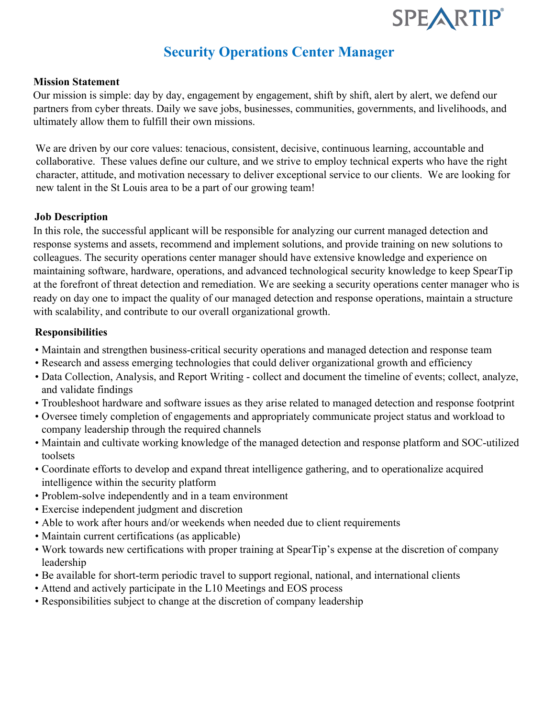

# **Security Operations Center Manager**

### **Mission Statement**

Our mission is simple: day by day, engagement by engagement, shift by shift, alert by alert, we defend our partners from cyber threats. Daily we save jobs, businesses, communities, governments, and livelihoods, and ultimately allow them to fulfill their own missions.

We are driven by our core values: tenacious, consistent, decisive, continuous learning, accountable and collaborative. These values define our culture, and we strive to employ technical experts who have the right character, attitude, and motivation necessary to deliver exceptional service to our clients. We are looking for new talent in the St Louis area to be a part of our growing team!

### **Job Description**

In this role, the successful applicant will be responsible for analyzing our current managed detection and response systems and assets, recommend and implement solutions, and provide training on new solutions to colleagues. The security operations center manager should have extensive knowledge and experience on maintaining software, hardware, operations, and advanced technological security knowledge to keep SpearTip at the forefront of threat detection and remediation. We are seeking a security operations center manager who is ready on day one to impact the quality of our managed detection and response operations, maintain a structure with scalability, and contribute to our overall organizational growth.

### **Responsibilities**

- Maintain and strengthen business-critical security operations and managed detection and response team
- Research and assess emerging technologies that could deliver organizational growth and efficiency
- Data Collection, Analysis, and Report Writing collect and document the timeline of events; collect, analyze, and validate findings
- Troubleshoot hardware and software issues as they arise related to managed detection and response footprint
- Oversee timely completion of engagements and appropriately communicate project status and workload to company leadership through the required channels
- Maintain and cultivate working knowledge of the managed detection and response platform and SOC-utilized toolsets
- Coordinate efforts to develop and expand threat intelligence gathering, and to operationalize acquired intelligence within the security platform
- Problem-solve independently and in a team environment
- Exercise independent judgment and discretion
- Able to work after hours and/or weekends when needed due to client requirements
- Maintain current certifications (as applicable)
- Work towards new certifications with proper training at SpearTip's expense at the discretion of company leadership
- Be available for short-term periodic travel to support regional, national, and international clients
- Attend and actively participate in the L10 Meetings and EOS process
- Responsibilities subject to change at the discretion of company leadership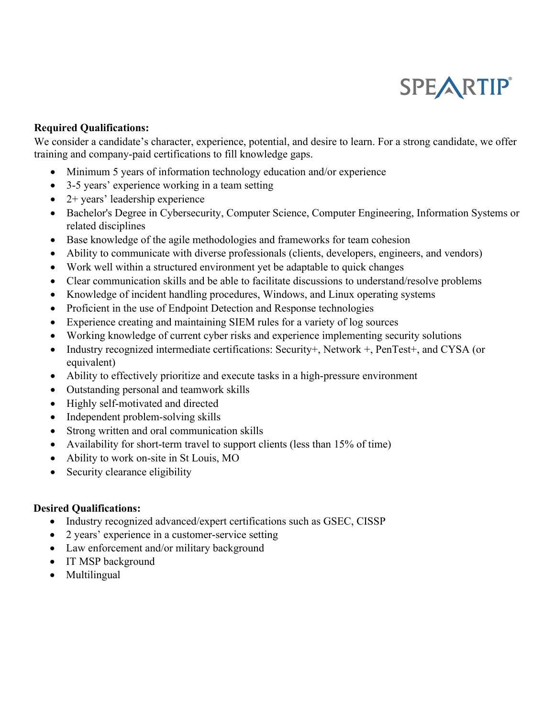# SPEARTIP®

## **Required Qualifications:**

We consider a candidate's character, experience, potential, and desire to learn. For a strong candidate, we offer training and company-paid certifications to fill knowledge gaps.

- Minimum 5 years of information technology education and/or experience
- 3-5 years' experience working in a team setting
- 2+ years' leadership experience
- Bachelor's Degree in Cybersecurity, Computer Science, Computer Engineering, Information Systems or related disciplines
- Base knowledge of the agile methodologies and frameworks for team cohesion
- Ability to communicate with diverse professionals (clients, developers, engineers, and vendors)
- Work well within a structured environment yet be adaptable to quick changes
- Clear communication skills and be able to facilitate discussions to understand/resolve problems
- Knowledge of incident handling procedures, Windows, and Linux operating systems
- Proficient in the use of Endpoint Detection and Response technologies
- Experience creating and maintaining SIEM rules for a variety of log sources
- Working knowledge of current cyber risks and experience implementing security solutions
- Industry recognized intermediate certifications: Security+, Network +, PenTest+, and CYSA (or equivalent)
- Ability to effectively prioritize and execute tasks in a high-pressure environment
- Outstanding personal and teamwork skills
- Highly self-motivated and directed
- Independent problem-solving skills
- Strong written and oral communication skills
- Availability for short-term travel to support clients (less than 15% of time)
- Ability to work on-site in St Louis, MO
- Security clearance eligibility

### **Desired Qualifications:**

- Industry recognized advanced/expert certifications such as GSEC, CISSP
- 2 years' experience in a customer-service setting
- Law enforcement and/or military background
- IT MSP background
- Multilingual